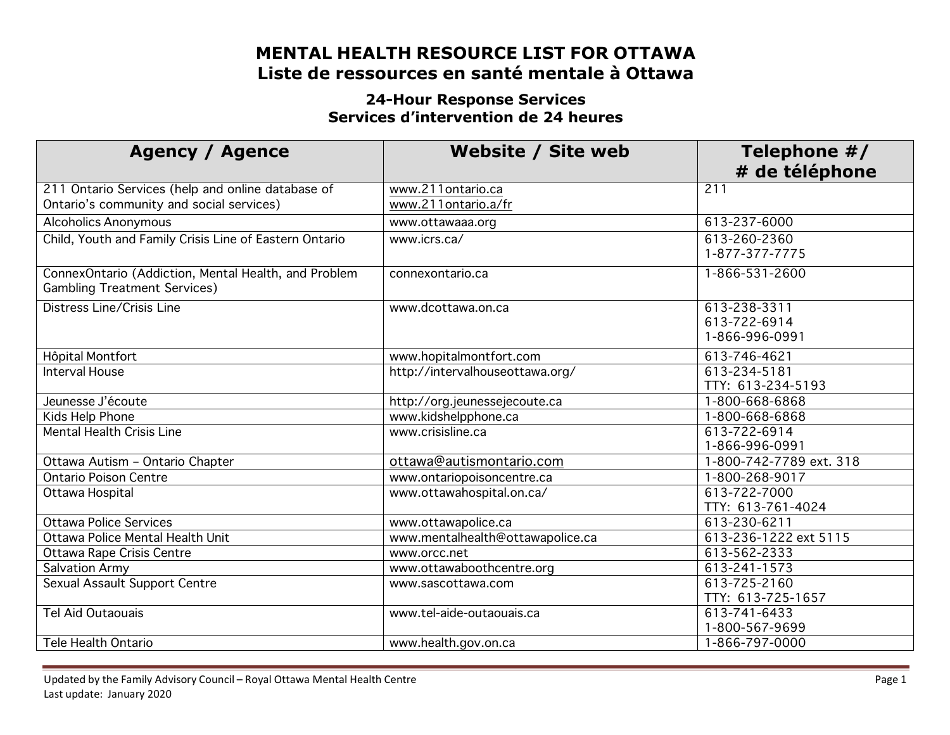# **MENTAL HEALTH RESOURCE LIST FOR OTTAWA Liste de ressources en santé mentale à Ottawa**

#### **24-Hour Response Services Services d'intervention de 24 heures**

| <b>Agency / Agence</b>                                                                        | Website / Site web                       | Telephone #/<br># de téléphone                 |
|-----------------------------------------------------------------------------------------------|------------------------------------------|------------------------------------------------|
| 211 Ontario Services (help and online database of<br>Ontario's community and social services) | www.211ontario.ca<br>www.211ontario.a/fr | 211                                            |
| <b>Alcoholics Anonymous</b>                                                                   | www.ottawaaa.org                         | 613-237-6000                                   |
| Child, Youth and Family Crisis Line of Eastern Ontario                                        | www.icrs.ca/                             | 613-260-2360<br>1-877-377-7775                 |
| ConnexOntario (Addiction, Mental Health, and Problem<br><b>Gambling Treatment Services)</b>   | connexontario.ca                         | 1-866-531-2600                                 |
| Distress Line/Crisis Line                                                                     | www.dcottawa.on.ca                       | 613-238-3311<br>613-722-6914<br>1-866-996-0991 |
| Hôpital Montfort                                                                              | www.hopitalmontfort.com                  | 613-746-4621                                   |
| <b>Interval House</b>                                                                         | http://intervalhouseottawa.org/          | 613-234-5181<br>TTY: 613-234-5193              |
| Jeunesse J'écoute                                                                             | http://org.jeunessejecoute.ca            | 1-800-668-6868                                 |
| Kids Help Phone                                                                               | www.kidshelpphone.ca                     | 1-800-668-6868                                 |
| <b>Mental Health Crisis Line</b>                                                              | www.crisisline.ca                        | 613-722-6914<br>1-866-996-0991                 |
| Ottawa Autism - Ontario Chapter                                                               | ottawa@autismontario.com                 | 1-800-742-7789 ext. 318                        |
| <b>Ontario Poison Centre</b>                                                                  | www.ontariopoisoncentre.ca               | 1-800-268-9017                                 |
| Ottawa Hospital                                                                               | www.ottawahospital.on.ca/                | 613-722-7000<br>TTY: 613-761-4024              |
| <b>Ottawa Police Services</b>                                                                 | www.ottawapolice.ca                      | 613-230-6211                                   |
| Ottawa Police Mental Health Unit                                                              | www.mentalhealth@ottawapolice.ca         | 613-236-1222 ext 5115                          |
| Ottawa Rape Crisis Centre                                                                     | www.orcc.net                             | 613-562-2333                                   |
| <b>Salvation Army</b>                                                                         | www.ottawaboothcentre.org                | 613-241-1573                                   |
| Sexual Assault Support Centre                                                                 | www.sascottawa.com                       | 613-725-2160<br>TTY: 613-725-1657              |
| <b>Tel Aid Outaouais</b>                                                                      | www.tel-aide-outaouais.ca                | 613-741-6433<br>1-800-567-9699                 |
| <b>Tele Health Ontario</b>                                                                    | www.health.gov.on.ca                     | 1-866-797-0000                                 |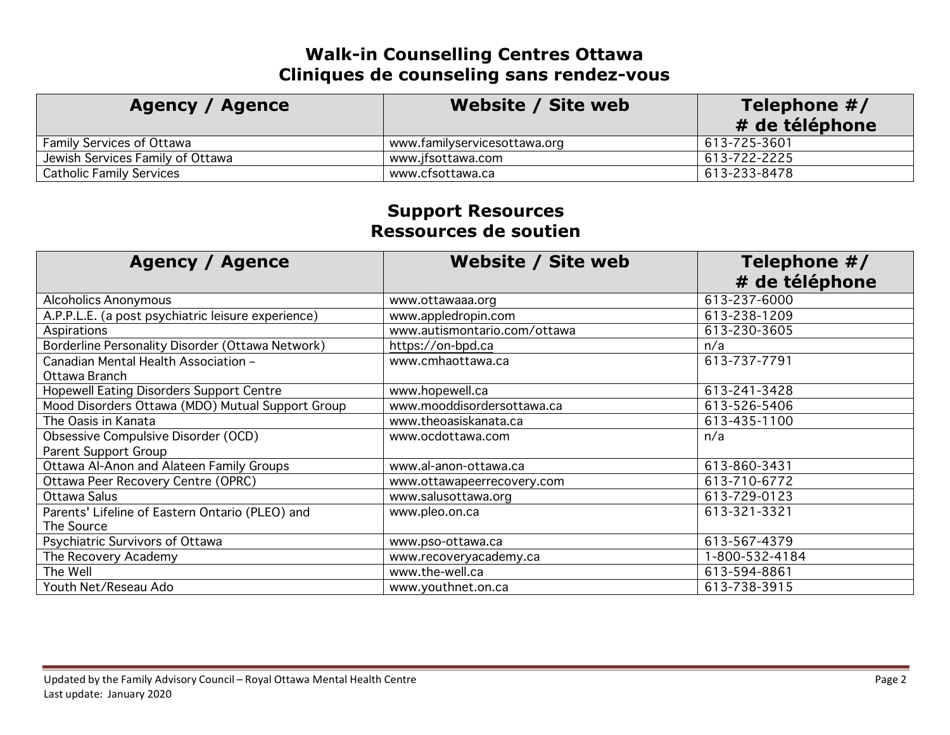# **Walk-in Counselling Centres Ottawa Cliniques de counseling sans rendez-vous**

| <b>Agency / Agence</b>           | Website / Site web           | Telephone $#/$<br># de téléphone |
|----------------------------------|------------------------------|----------------------------------|
| <b>Family Services of Ottawa</b> | www.familyservicesottawa.org | 613-725-3601                     |
| Jewish Services Family of Ottawa | www.jfsottawa.com            | 613-722-2225                     |
| <b>Catholic Family Services</b>  | www.cfsottawa.ca             | 613-233-8478                     |

#### **Support Resources Ressources de soutien**

| <b>Agency / Agence</b>                             | <b>Website / Site web</b>    | Telephone #/<br># de téléphone |
|----------------------------------------------------|------------------------------|--------------------------------|
| <b>Alcoholics Anonymous</b>                        | www.ottawaaa.org             | 613-237-6000                   |
| A.P.P.L.E. (a post psychiatric leisure experience) | www.appledropin.com          | 613-238-1209                   |
| Aspirations                                        | www.autismontario.com/ottawa | 613-230-3605                   |
| Borderline Personality Disorder (Ottawa Network)   | https://on-bpd.ca            | n/a                            |
| Canadian Mental Health Association -               | www.cmhaottawa.ca            | 613-737-7791                   |
| Ottawa Branch                                      |                              |                                |
| <b>Hopewell Eating Disorders Support Centre</b>    | www.hopewell.ca              | 613-241-3428                   |
| Mood Disorders Ottawa (MDO) Mutual Support Group   | www.mooddisordersottawa.ca   | 613-526-5406                   |
| The Oasis in Kanata                                | www.theoasiskanata.ca        | 613-435-1100                   |
| Obsessive Compulsive Disorder (OCD)                | www.ocdottawa.com            | n/a                            |
| Parent Support Group                               |                              |                                |
| Ottawa Al-Anon and Alateen Family Groups           | www.al-anon-ottawa.ca        | 613-860-3431                   |
| Ottawa Peer Recovery Centre (OPRC)                 | www.ottawapeerrecovery.com   | 613-710-6772                   |
| Ottawa Salus                                       | www.salusottawa.org          | 613-729-0123                   |
| Parents' Lifeline of Eastern Ontario (PLEO) and    | www.pleo.on.ca               | 613-321-3321                   |
| The Source                                         |                              |                                |
| Psychiatric Survivors of Ottawa                    | www.pso-ottawa.ca            | 613-567-4379                   |
| The Recovery Academy                               | www.recoveryacademy.ca       | 1-800-532-4184                 |
| The Well                                           | www.the-well.ca              | 613-594-8861                   |
| Youth Net/Reseau Ado                               | www.youthnet.on.ca           | 613-738-3915                   |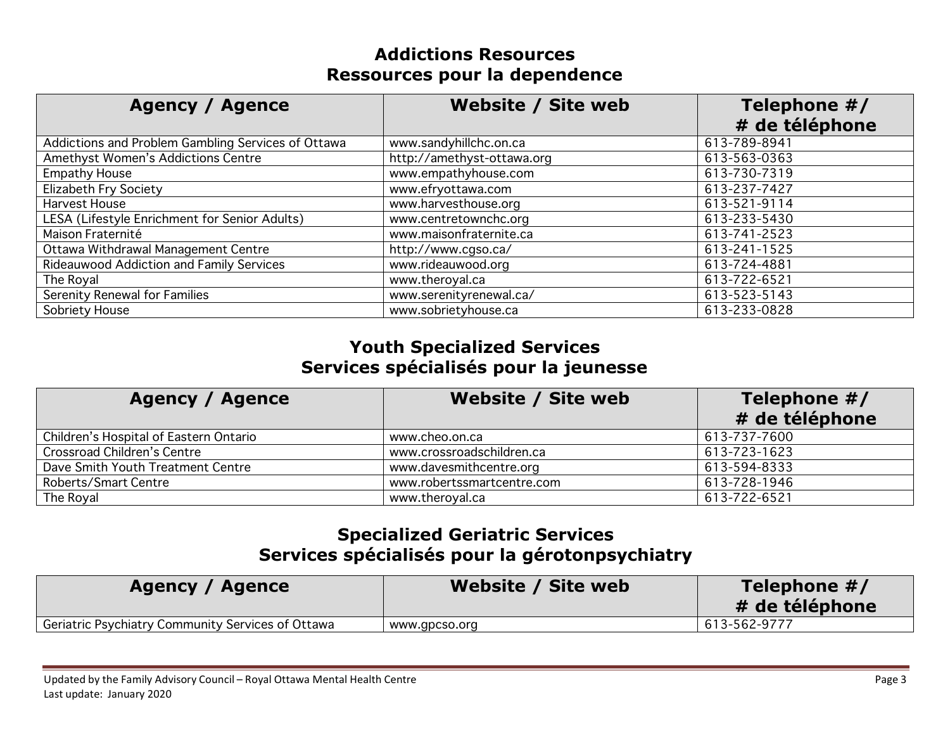## **Addictions Resources Ressources pour la dependence**

| <b>Agency / Agence</b>                             | Website / Site web         | Telephone #/<br># de téléphone |
|----------------------------------------------------|----------------------------|--------------------------------|
| Addictions and Problem Gambling Services of Ottawa | www.sandyhillchc.on.ca     | 613-789-8941                   |
| Amethyst Women's Addictions Centre                 | http://amethyst-ottawa.org | 613-563-0363                   |
| <b>Empathy House</b>                               | www.empathyhouse.com       | 613-730-7319                   |
| <b>Elizabeth Fry Society</b>                       | www.efryottawa.com         | 613-237-7427                   |
| Harvest House                                      | www.harvesthouse.org       | 613-521-9114                   |
| LESA (Lifestyle Enrichment for Senior Adults)      | www.centretownchc.org      | 613-233-5430                   |
| Maison Fraternité                                  | www.maisonfraternite.ca    | 613-741-2523                   |
| Ottawa Withdrawal Management Centre                | http://www.cgso.ca/        | 613-241-1525                   |
| Rideauwood Addiction and Family Services           | www.rideauwood.org         | 613-724-4881                   |
| The Royal                                          | www.theroyal.ca            | 613-722-6521                   |
| <b>Serenity Renewal for Families</b>               | www.serenityrenewal.ca/    | 613-523-5143                   |
| Sobriety House                                     | www.sobrietyhouse.ca       | 613-233-0828                   |

#### **Youth Specialized Services Services spécialisés pour la jeunesse**

| <b>Agency / Agence</b>                 | Website / Site web         | Telephone #/<br># de téléphone |
|----------------------------------------|----------------------------|--------------------------------|
| Children's Hospital of Eastern Ontario | www.cheo.on.ca             | 613-737-7600                   |
| Crossroad Children's Centre            | www.crossroadschildren.ca  | 613-723-1623                   |
| Dave Smith Youth Treatment Centre      | www.davesmithcentre.org    | 613-594-8333                   |
| Roberts/Smart Centre                   | www.robertssmartcentre.com | 613-728-1946                   |
| The Royal                              | www.theroyal.ca            | 613-722-6521                   |

## **Specialized Geriatric Services Services spécialisés pour la gérotonpsychiatry**

| Agency / Agence                                   | Website / Site web | Telephone $#/$<br># de téléphone |
|---------------------------------------------------|--------------------|----------------------------------|
| Geriatric Psychiatry Community Services of Ottawa | www.gpcso.org      | 613-562-9777                     |